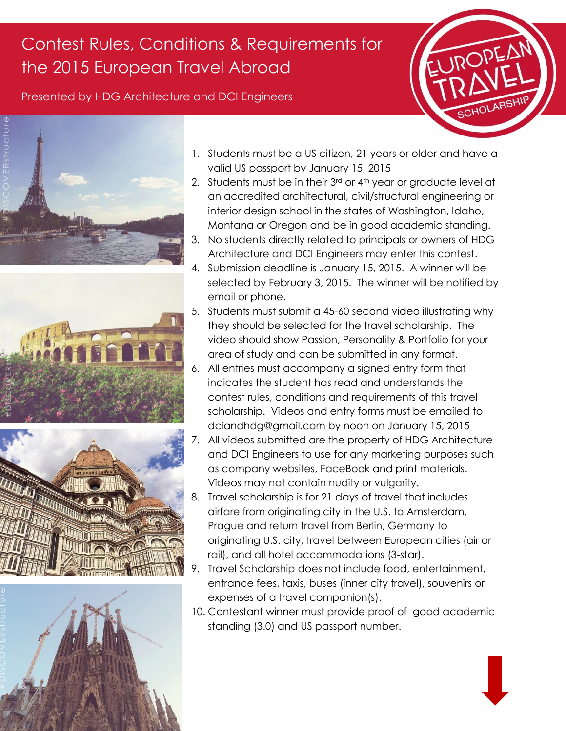## Contest Rules, Conditions & Requirements for the 2015 European Travel Abroad

Presented by HDG Architecture and DCI Engineers











- 1. Students must be a US citizen, 21 years or older and have a valid US passport by January 15, 2015
- 2. Students must be in their  $3<sup>rd</sup>$  or  $4<sup>th</sup>$  year or graduate level at an accredited architectural, civil/structural engineering or interior design school in the states of Washington, Idaho, Montana or Oregon and be in good academic standing.
- 3. No students directly related to principals or owners of HDG Architecture and DCI Engineers may enter this contest.
- 4. Submission deadline is January 15, 2015. A winner will be selected by February 3, 2015. The winner will be notified by email or phone.
- 5. Students must submit a 45-60 second video illustrating why they should be selected for the travel scholarship. The video should show Passion, Personality & Portfolio for your area of study and can be submitted in any format.
- 6. All entries must accompany a signed entry form that indicates the student has read and understands the contest rules, conditions and requirements of this travel scholarship. Videos and entry forms must be emailed to dciandhdg@gmail.com by noon on January 15, 2015
- 7. All videos submitted are the property of HDG Architecture and DCI Engineers to use for any marketing purposes such as company websites, FaceBook and print materials. Videos may not contain nudity or vulgarity.
- 8. Travel scholarship is for 21 days of travel that includes airfare from originating city in the U.S. to Amsterdam, Prague and return travel from Berlin, Germany to originating U.S. city, travel between European cities (air or rail), and all hotel accommodations (3-star).
- 9. Travel Scholarship does not include food, entertainment, entrance fees, taxis, buses (inner city travel), souvenirs or expenses of a travel companion(s).
- 10. Contestant winner must provide proof of good academic standing (3.0) and US passport number.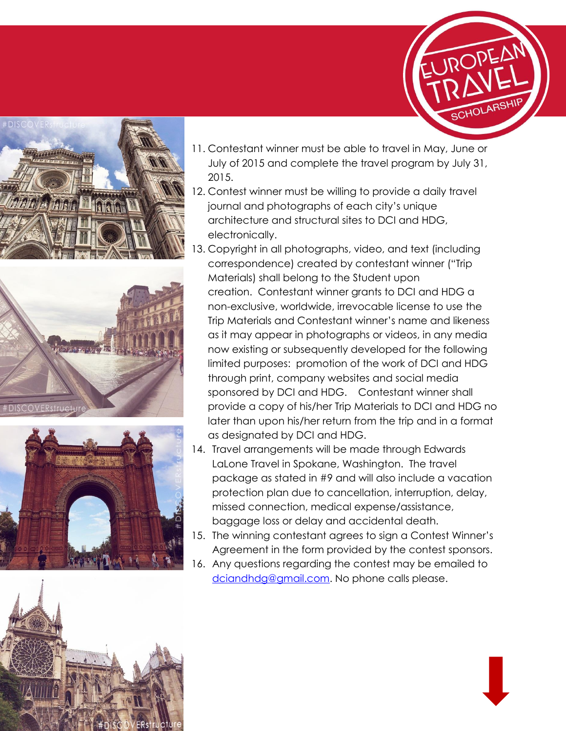







- 11. Contestant winner must be able to travel in May, June or July of 2015 and complete the travel program by July 31, 2015.
- 12. Contest winner must be willing to provide a daily travel journal and photographs of each city's unique architecture and structural sites to DCI and HDG, electronically.
- 13. Copyright in all photographs, video, and text (including correspondence) created by contestant winner ("Trip Materials) shall belong to the Student upon creation. Contestant winner grants to DCI and HDG a non-exclusive, worldwide, irrevocable license to use the Trip Materials and Contestant winner's name and likeness as it may appear in photographs or videos, in any media now existing or subsequently developed for the following limited purposes: promotion of the work of DCI and HDG through print, company websites and social media sponsored by DCI and HDG. Contestant winner shall provide a copy of his/her Trip Materials to DCI and HDG no later than upon his/her return from the trip and in a format as designated by DCI and HDG.
- 14. Travel arrangements will be made through Edwards LaLone Travel in Spokane, Washington. The travel package as stated in #9 and will also include a vacation protection plan due to cancellation, interruption, delay, missed connection, medical expense/assistance, baggage loss or delay and accidental death.
- 15. The winning contestant agrees to sign a Contest Winner's Agreement in the form provided by the contest sponsors.
- 16. Any questions regarding the contest may be emailed to [dciandhdg@gmail.com.](mailto:dciandhdg@gmail.com) No phone calls please.